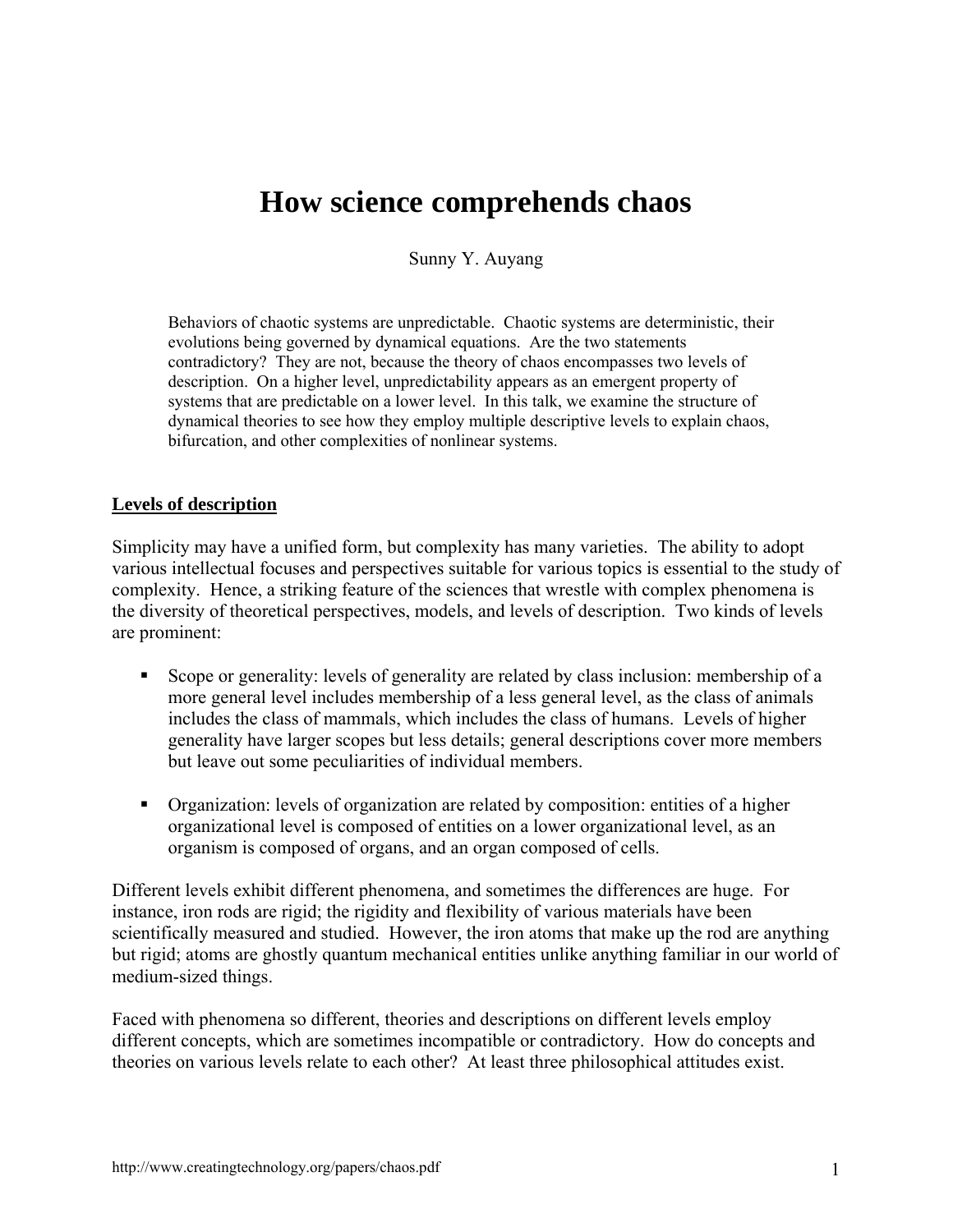# **How science comprehends chaos**

Sunny Y. Auyang

Behaviors of chaotic systems are unpredictable. Chaotic systems are deterministic, their evolutions being governed by dynamical equations. Are the two statements contradictory? They are not, because the theory of chaos encompasses two levels of description. On a higher level, unpredictability appears as an emergent property of systems that are predictable on a lower level. In this talk, we examine the structure of dynamical theories to see how they employ multiple descriptive levels to explain chaos, bifurcation, and other complexities of nonlinear systems.

### **Levels of description**

Simplicity may have a unified form, but complexity has many varieties. The ability to adopt various intellectual focuses and perspectives suitable for various topics is essential to the study of complexity. Hence, a striking feature of the sciences that wrestle with complex phenomena is the diversity of theoretical perspectives, models, and levels of description. Two kinds of levels are prominent:

- Scope or generality: levels of generality are related by class inclusion: membership of a more general level includes membership of a less general level, as the class of animals includes the class of mammals, which includes the class of humans. Levels of higher generality have larger scopes but less details; general descriptions cover more members but leave out some peculiarities of individual members.
- Organization: levels of organization are related by composition: entities of a higher organizational level is composed of entities on a lower organizational level, as an organism is composed of organs, and an organ composed of cells.

Different levels exhibit different phenomena, and sometimes the differences are huge. For instance, iron rods are rigid; the rigidity and flexibility of various materials have been scientifically measured and studied. However, the iron atoms that make up the rod are anything but rigid; atoms are ghostly quantum mechanical entities unlike anything familiar in our world of medium-sized things.

Faced with phenomena so different, theories and descriptions on different levels employ different concepts, which are sometimes incompatible or contradictory. How do concepts and theories on various levels relate to each other? At least three philosophical attitudes exist.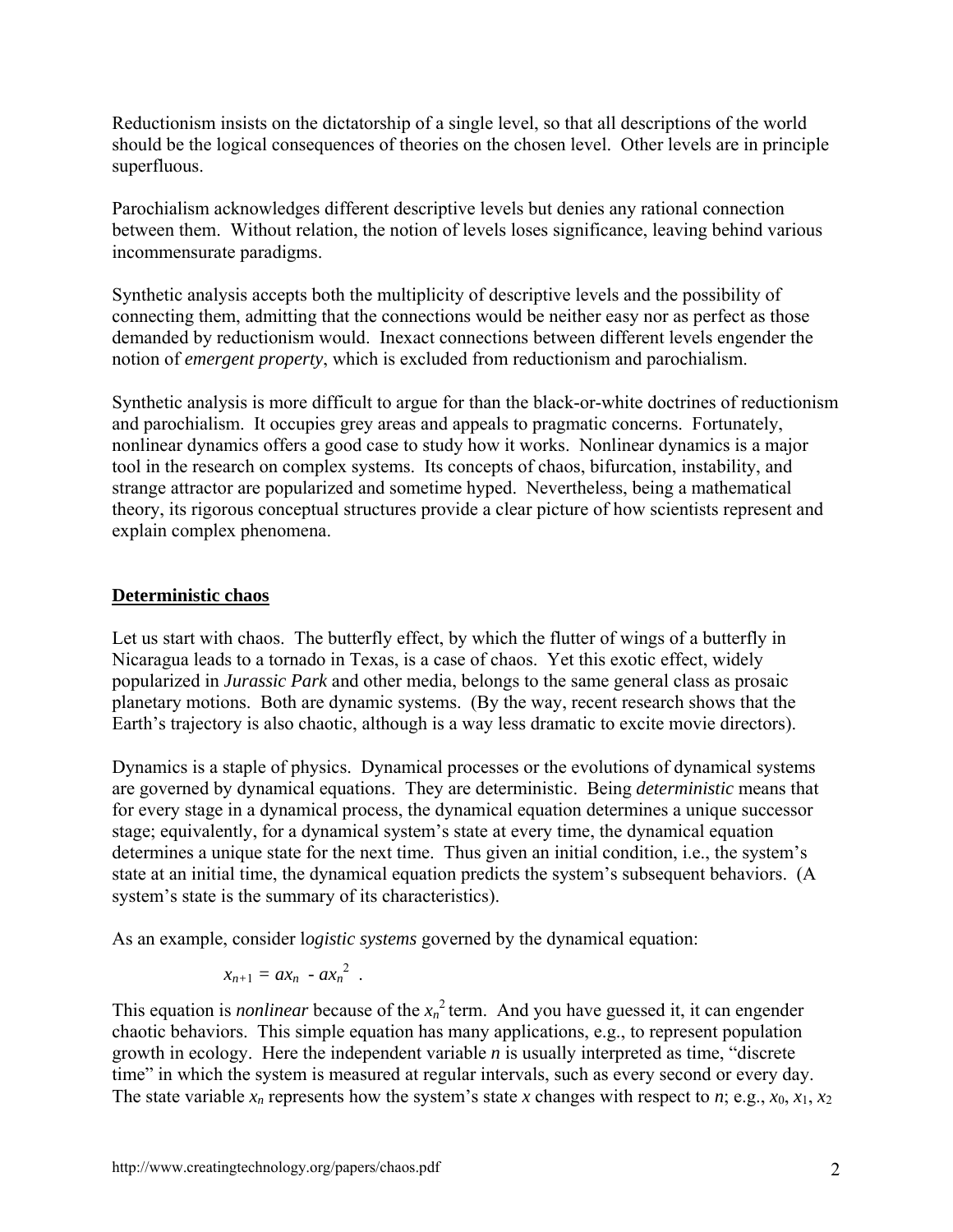Reductionism insists on the dictatorship of a single level, so that all descriptions of the world should be the logical consequences of theories on the chosen level. Other levels are in principle superfluous.

Parochialism acknowledges different descriptive levels but denies any rational connection between them. Without relation, the notion of levels loses significance, leaving behind various incommensurate paradigms.

Synthetic analysis accepts both the multiplicity of descriptive levels and the possibility of connecting them, admitting that the connections would be neither easy nor as perfect as those demanded by reductionism would. Inexact connections between different levels engender the notion of *emergent property*, which is excluded from reductionism and parochialism.

Synthetic analysis is more difficult to argue for than the black-or-white doctrines of reductionism and parochialism. It occupies grey areas and appeals to pragmatic concerns. Fortunately, nonlinear dynamics offers a good case to study how it works. Nonlinear dynamics is a major tool in the research on complex systems. Its concepts of chaos, bifurcation, instability, and strange attractor are popularized and sometime hyped. Nevertheless, being a mathematical theory, its rigorous conceptual structures provide a clear picture of how scientists represent and explain complex phenomena.

## **Deterministic chaos**

Let us start with chaos. The butterfly effect, by which the flutter of wings of a butterfly in Nicaragua leads to a tornado in Texas, is a case of chaos. Yet this exotic effect, widely popularized in *Jurassic Park* and other media, belongs to the same general class as prosaic planetary motions. Both are dynamic systems. (By the way, recent research shows that the Earth's trajectory is also chaotic, although is a way less dramatic to excite movie directors).

Dynamics is a staple of physics. Dynamical processes or the evolutions of dynamical systems are governed by dynamical equations. They are deterministic. Being *deterministic* means that for every stage in a dynamical process, the dynamical equation determines a unique successor stage; equivalently, for a dynamical system's state at every time, the dynamical equation determines a unique state for the next time. Thus given an initial condition, i.e., the system's state at an initial time, the dynamical equation predicts the system's subsequent behaviors. (A system's state is the summary of its characteristics).

As an example, consider l*ogistic systems* governed by the dynamical equation:

$$
x_{n+1}=ax_n-ax_n^2.
$$

This equation is *nonlinear* because of the  $x_n^2$  term. And you have guessed it, it can engender chaotic behaviors. This simple equation has many applications, e.g., to represent population growth in ecology. Here the independent variable *n* is usually interpreted as time, "discrete time" in which the system is measured at regular intervals, such as every second or every day. The state variable  $x_n$  represents how the system's state *x* changes with respect to *n*; e.g.,  $x_0$ ,  $x_1$ ,  $x_2$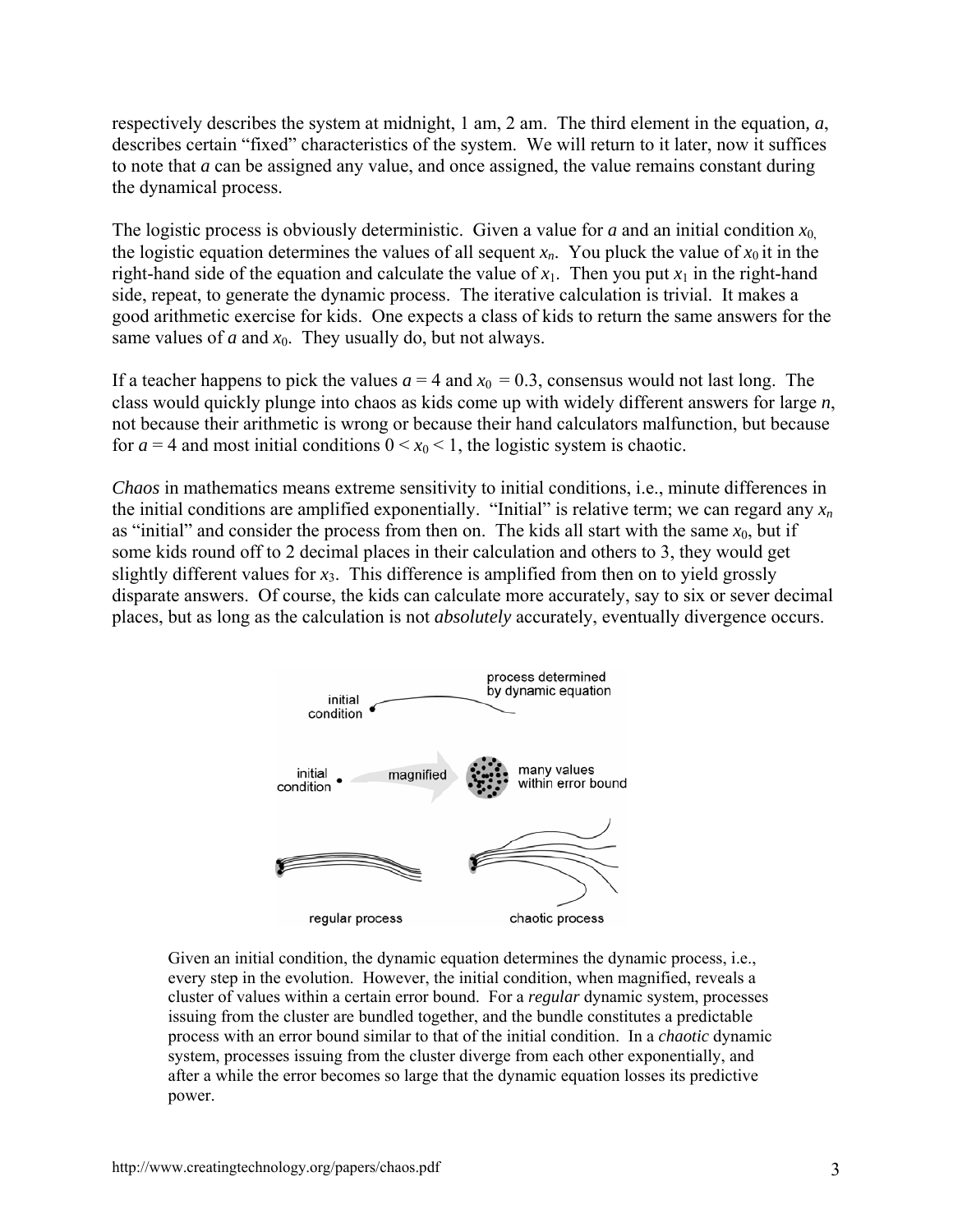respectively describes the system at midnight, 1 am, 2 am. The third element in the equation*, a*, describes certain "fixed" characteristics of the system. We will return to it later, now it suffices to note that *a* can be assigned any value, and once assigned, the value remains constant during the dynamical process.

The logistic process is obviously deterministic. Given a value for *a* and an initial condition  $x_0$ , the logistic equation determines the values of all sequent  $x_n$ . You pluck the value of  $x_0$  it in the right-hand side of the equation and calculate the value of  $x_1$ . Then you put  $x_1$  in the right-hand side, repeat, to generate the dynamic process. The iterative calculation is trivial. It makes a good arithmetic exercise for kids. One expects a class of kids to return the same answers for the same values of  $a$  and  $x_0$ . They usually do, but not always.

If a teacher happens to pick the values  $a = 4$  and  $x_0 = 0.3$ , consensus would not last long. The class would quickly plunge into chaos as kids come up with widely different answers for large *n*, not because their arithmetic is wrong or because their hand calculators malfunction, but because for  $a = 4$  and most initial conditions  $0 \le x_0 \le 1$ , the logistic system is chaotic.

*Chaos* in mathematics means extreme sensitivity to initial conditions, i.e., minute differences in the initial conditions are amplified exponentially. "Initial" is relative term; we can regard any  $x_n$ as "initial" and consider the process from then on. The kids all start with the same  $x_0$ , but if some kids round off to 2 decimal places in their calculation and others to 3, they would get slightly different values for  $x_3$ . This difference is amplified from then on to yield grossly disparate answers. Of course, the kids can calculate more accurately, say to six or sever decimal places, but as long as the calculation is not *absolutely* accurately, eventually divergence occurs.



Given an initial condition, the dynamic equation determines the dynamic process, i.e., every step in the evolution. However, the initial condition, when magnified, reveals a cluster of values within a certain error bound. For a *regular* dynamic system, processes issuing from the cluster are bundled together, and the bundle constitutes a predictable process with an error bound similar to that of the initial condition. In a *chaotic* dynamic system, processes issuing from the cluster diverge from each other exponentially, and after a while the error becomes so large that the dynamic equation losses its predictive power.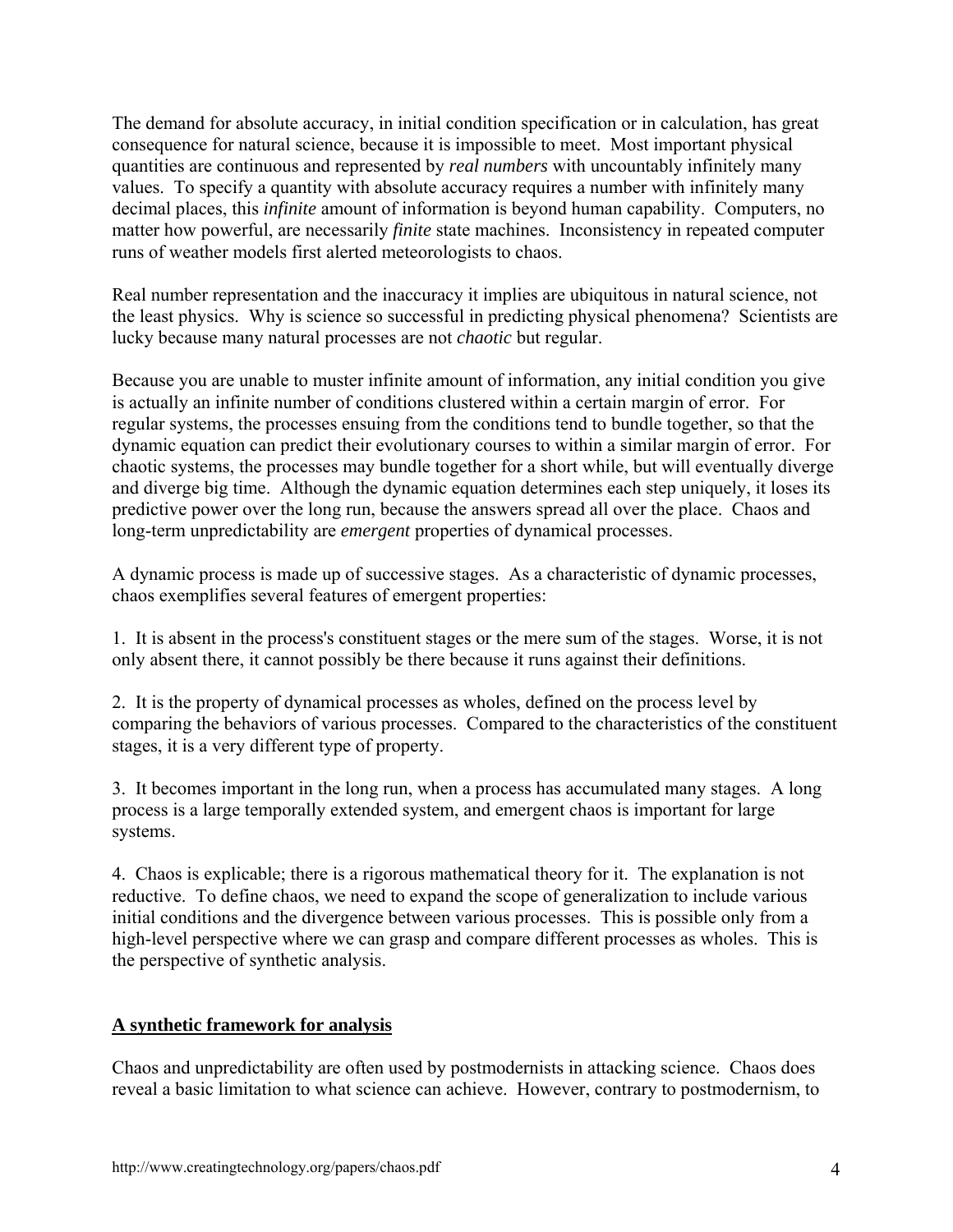The demand for absolute accuracy, in initial condition specification or in calculation, has great consequence for natural science, because it is impossible to meet. Most important physical quantities are continuous and represented by *real numbers* with uncountably infinitely many values. To specify a quantity with absolute accuracy requires a number with infinitely many decimal places, this *infinite* amount of information is beyond human capability. Computers, no matter how powerful, are necessarily *finite* state machines. Inconsistency in repeated computer runs of weather models first alerted meteorologists to chaos.

Real number representation and the inaccuracy it implies are ubiquitous in natural science, not the least physics. Why is science so successful in predicting physical phenomena? Scientists are lucky because many natural processes are not *chaotic* but regular.

Because you are unable to muster infinite amount of information, any initial condition you give is actually an infinite number of conditions clustered within a certain margin of error. For regular systems, the processes ensuing from the conditions tend to bundle together, so that the dynamic equation can predict their evolutionary courses to within a similar margin of error. For chaotic systems, the processes may bundle together for a short while, but will eventually diverge and diverge big time. Although the dynamic equation determines each step uniquely, it loses its predictive power over the long run, because the answers spread all over the place. Chaos and long-term unpredictability are *emergent* properties of dynamical processes.

A dynamic process is made up of successive stages. As a characteristic of dynamic processes, chaos exemplifies several features of emergent properties:

1. It is absent in the process's constituent stages or the mere sum of the stages. Worse, it is not only absent there, it cannot possibly be there because it runs against their definitions.

2. It is the property of dynamical processes as wholes, defined on the process level by comparing the behaviors of various processes. Compared to the characteristics of the constituent stages, it is a very different type of property.

3. It becomes important in the long run, when a process has accumulated many stages. A long process is a large temporally extended system, and emergent chaos is important for large systems.

4. Chaos is explicable; there is a rigorous mathematical theory for it. The explanation is not reductive. To define chaos, we need to expand the scope of generalization to include various initial conditions and the divergence between various processes. This is possible only from a high-level perspective where we can grasp and compare different processes as wholes. This is the perspective of synthetic analysis.

### **A synthetic framework for analysis**

Chaos and unpredictability are often used by postmodernists in attacking science. Chaos does reveal a basic limitation to what science can achieve. However, contrary to postmodernism, to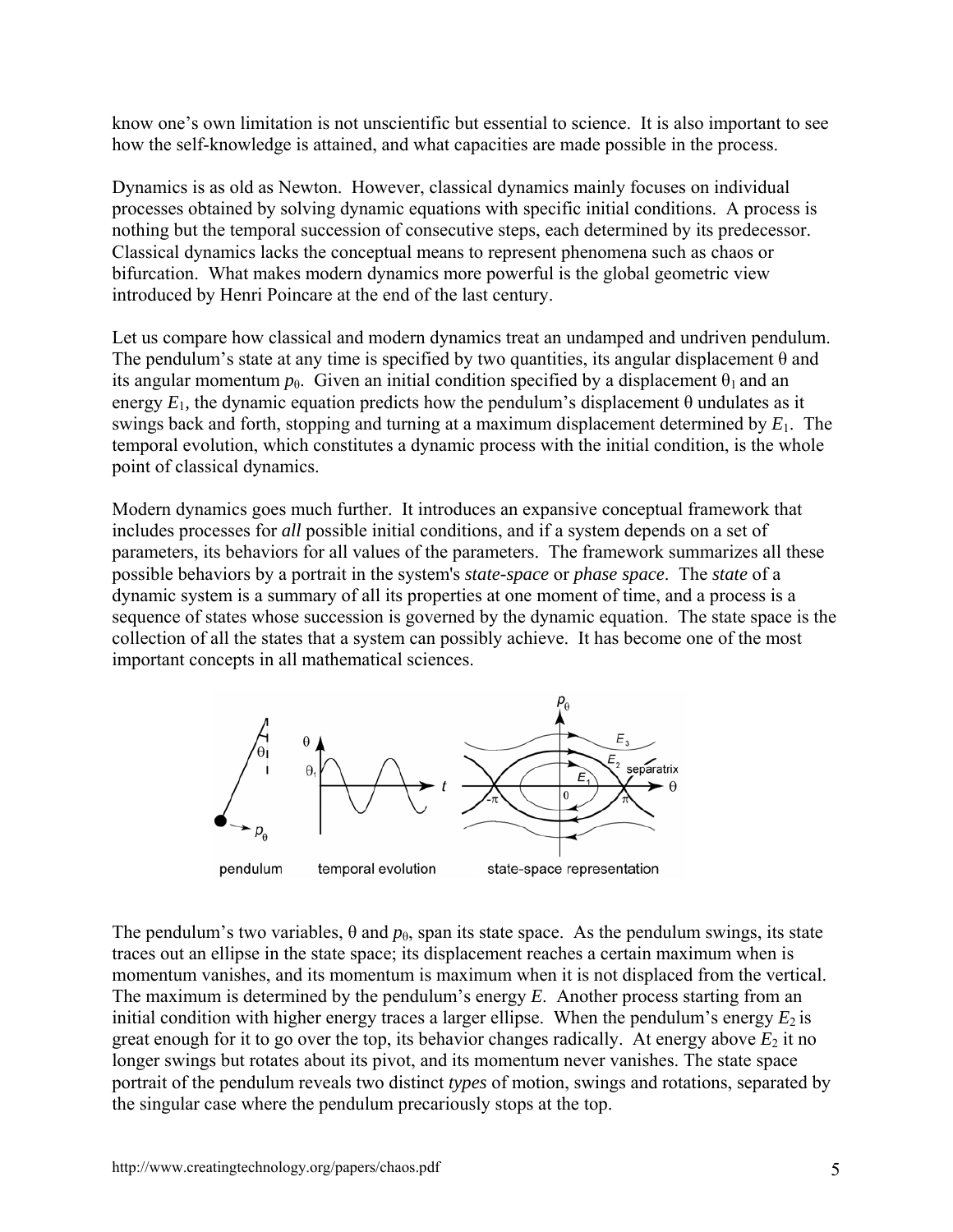know one's own limitation is not unscientific but essential to science. It is also important to see how the self-knowledge is attained, and what capacities are made possible in the process.

Dynamics is as old as Newton. However, classical dynamics mainly focuses on individual processes obtained by solving dynamic equations with specific initial conditions. A process is nothing but the temporal succession of consecutive steps, each determined by its predecessor. Classical dynamics lacks the conceptual means to represent phenomena such as chaos or bifurcation. What makes modern dynamics more powerful is the global geometric view introduced by Henri Poincare at the end of the last century.

Let us compare how classical and modern dynamics treat an undamped and undriven pendulum. The pendulum's state at any time is specified by two quantities, its angular displacement  $\theta$  and its angular momentum  $p_{\theta}$ . Given an initial condition specified by a displacement  $\theta_1$  and an energy  $E_1$ , the dynamic equation predicts how the pendulum's displacement  $\theta$  undulates as it swings back and forth, stopping and turning at a maximum displacement determined by *E*1. The temporal evolution, which constitutes a dynamic process with the initial condition, is the whole point of classical dynamics.

Modern dynamics goes much further. It introduces an expansive conceptual framework that includes processes for *all* possible initial conditions, and if a system depends on a set of parameters, its behaviors for all values of the parameters. The framework summarizes all these possible behaviors by a portrait in the system's *state-space* or *phase space*. The *state* of a dynamic system is a summary of all its properties at one moment of time, and a process is a sequence of states whose succession is governed by the dynamic equation. The state space is the collection of all the states that a system can possibly achieve. It has become one of the most important concepts in all mathematical sciences.



The pendulum's two variables,  $\theta$  and  $p_{\theta}$ , span its state space. As the pendulum swings, its state traces out an ellipse in the state space; its displacement reaches a certain maximum when is momentum vanishes, and its momentum is maximum when it is not displaced from the vertical. The maximum is determined by the pendulum's energy *E*. Another process starting from an initial condition with higher energy traces a larger ellipse. When the pendulum's energy  $E_2$  is great enough for it to go over the top, its behavior changes radically. At energy above  $E_2$  it no longer swings but rotates about its pivot, and its momentum never vanishes. The state space portrait of the pendulum reveals two distinct *types* of motion, swings and rotations, separated by the singular case where the pendulum precariously stops at the top.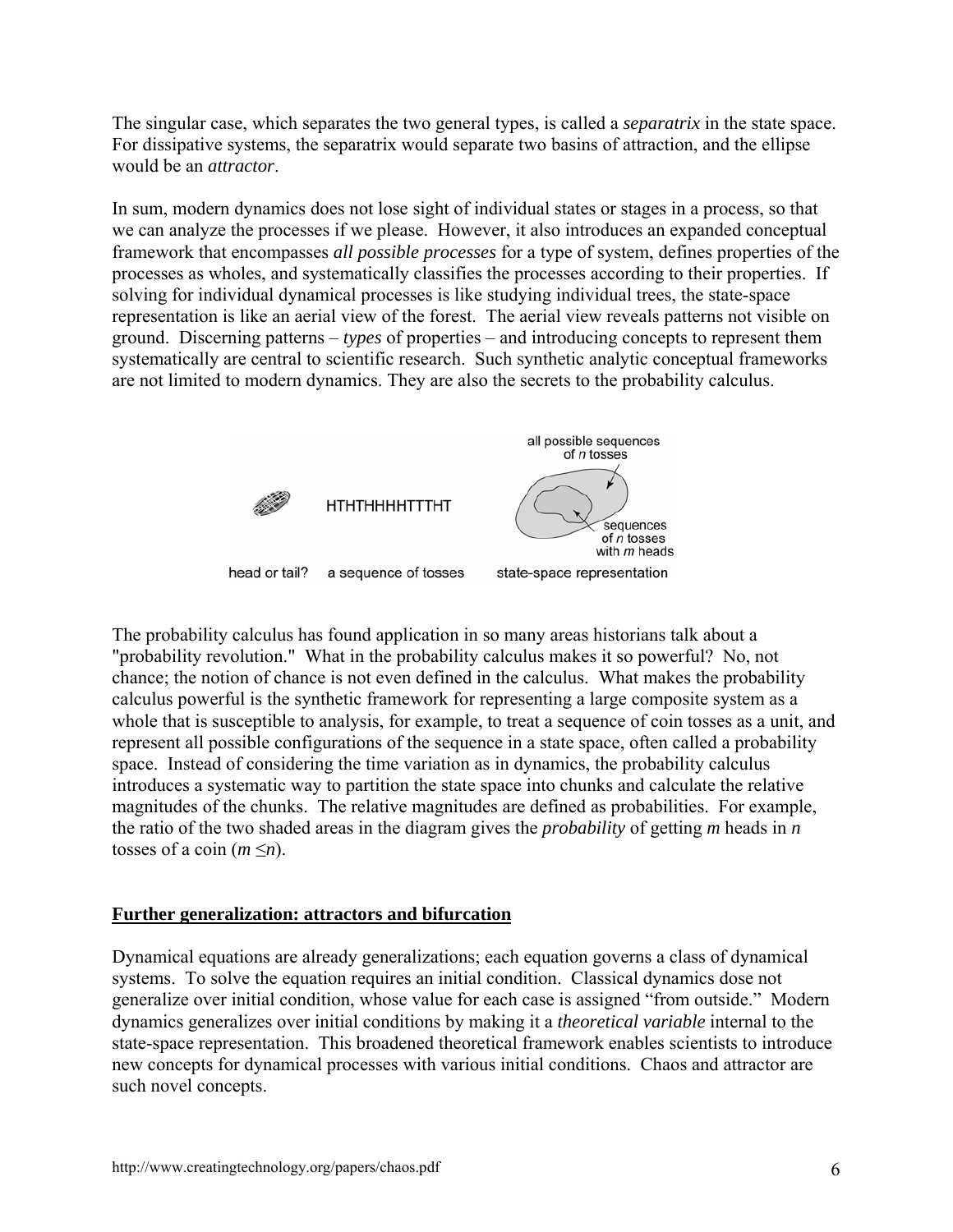The singular case, which separates the two general types, is called a *separatrix* in the state space. For dissipative systems, the separatrix would separate two basins of attraction, and the ellipse would be an *attractor*.

In sum, modern dynamics does not lose sight of individual states or stages in a process, so that we can analyze the processes if we please. However, it also introduces an expanded conceptual framework that encompasses *all possible processes* for a type of system, defines properties of the processes as wholes, and systematically classifies the processes according to their properties. If solving for individual dynamical processes is like studying individual trees, the state-space representation is like an aerial view of the forest. The aerial view reveals patterns not visible on ground. Discerning patterns – *types* of properties – and introducing concepts to represent them systematically are central to scientific research. Such synthetic analytic conceptual frameworks are not limited to modern dynamics. They are also the secrets to the probability calculus.



The probability calculus has found application in so many areas historians talk about a "probability revolution." What in the probability calculus makes it so powerful? No, not chance; the notion of chance is not even defined in the calculus. What makes the probability calculus powerful is the synthetic framework for representing a large composite system as a whole that is susceptible to analysis, for example, to treat a sequence of coin tosses as a unit, and represent all possible configurations of the sequence in a state space, often called a probability space. Instead of considering the time variation as in dynamics, the probability calculus introduces a systematic way to partition the state space into chunks and calculate the relative magnitudes of the chunks. The relative magnitudes are defined as probabilities. For example, the ratio of the two shaded areas in the diagram gives the *probability* of getting *m* heads in *n* tosses of a coin  $(m \le n)$ .

## **Further generalization: attractors and bifurcation**

Dynamical equations are already generalizations; each equation governs a class of dynamical systems. To solve the equation requires an initial condition. Classical dynamics dose not generalize over initial condition, whose value for each case is assigned "from outside." Modern dynamics generalizes over initial conditions by making it a *theoretical variable* internal to the state-space representation. This broadened theoretical framework enables scientists to introduce new concepts for dynamical processes with various initial conditions. Chaos and attractor are such novel concepts.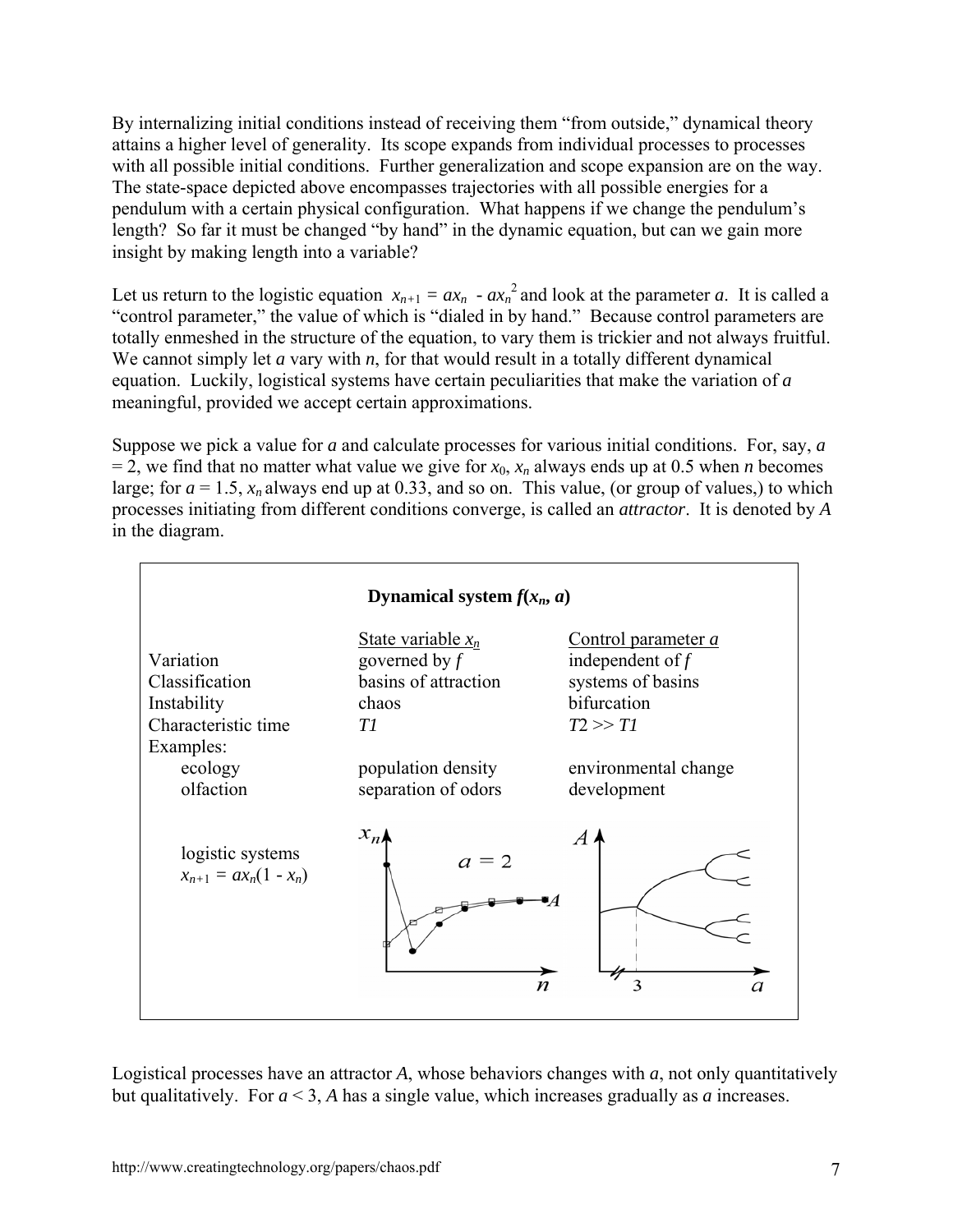By internalizing initial conditions instead of receiving them "from outside," dynamical theory attains a higher level of generality. Its scope expands from individual processes to processes with all possible initial conditions. Further generalization and scope expansion are on the way. The state-space depicted above encompasses trajectories with all possible energies for a pendulum with a certain physical configuration. What happens if we change the pendulum's length? So far it must be changed "by hand" in the dynamic equation, but can we gain more insight by making length into a variable?

Let us return to the logistic equation  $x_{n+1} = ax_n - ax_n^2$  and look at the parameter *a*. It is called a "control parameter," the value of which is "dialed in by hand." Because control parameters are totally enmeshed in the structure of the equation, to vary them is trickier and not always fruitful. We cannot simply let *a* vary with *n*, for that would result in a totally different dynamical equation. Luckily, logistical systems have certain peculiarities that make the variation of *a* meaningful, provided we accept certain approximations.

Suppose we pick a value for *a* and calculate processes for various initial conditions. For, say, *a*   $= 2$ , we find that no matter what value we give for  $x_0$ ,  $x_n$  always ends up at 0.5 when *n* becomes large; for  $a = 1.5$ ,  $x_n$  always end up at 0.33, and so on. This value, (or group of values,) to which processes initiating from different conditions converge, is called an *attractor*. It is denoted by *A* in the diagram.



Logistical processes have an attractor *A*, whose behaviors changes with *a*, not only quantitatively but qualitatively. For *a* < 3, *A* has a single value, which increases gradually as *a* increases.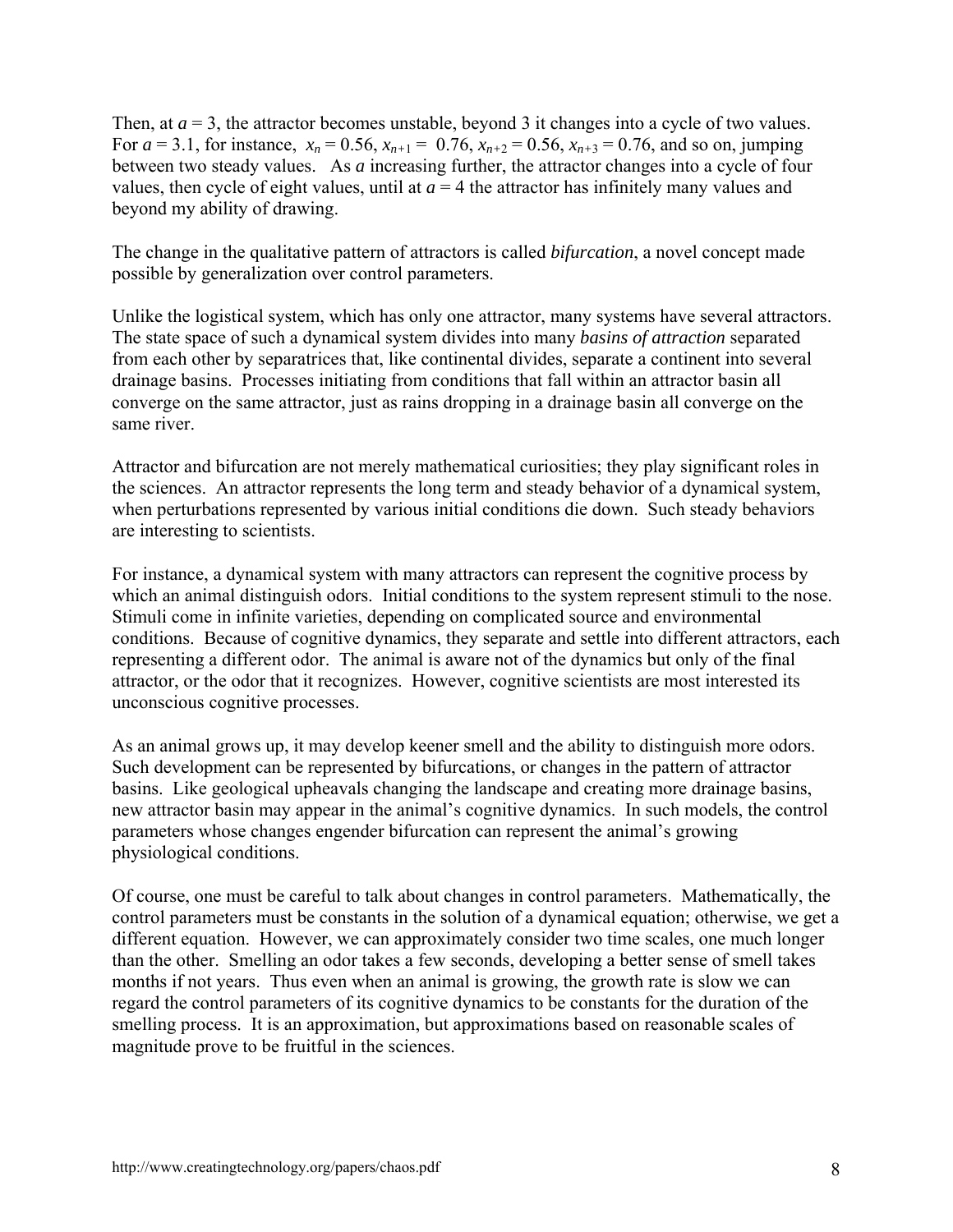Then, at  $a = 3$ , the attractor becomes unstable, beyond 3 it changes into a cycle of two values. For  $a = 3.1$ , for instance,  $x_n = 0.56$ ,  $x_{n+1} = 0.76$ ,  $x_{n+2} = 0.56$ ,  $x_{n+3} = 0.76$ , and so on, jumping between two steady values. As *a* increasing further, the attractor changes into a cycle of four values, then cycle of eight values, until at  $a = 4$  the attractor has infinitely many values and beyond my ability of drawing.

The change in the qualitative pattern of attractors is called *bifurcation*, a novel concept made possible by generalization over control parameters.

Unlike the logistical system, which has only one attractor, many systems have several attractors. The state space of such a dynamical system divides into many *basins of attraction* separated from each other by separatrices that, like continental divides, separate a continent into several drainage basins. Processes initiating from conditions that fall within an attractor basin all converge on the same attractor, just as rains dropping in a drainage basin all converge on the same river.

Attractor and bifurcation are not merely mathematical curiosities; they play significant roles in the sciences. An attractor represents the long term and steady behavior of a dynamical system, when perturbations represented by various initial conditions die down. Such steady behaviors are interesting to scientists.

For instance, a dynamical system with many attractors can represent the cognitive process by which an animal distinguish odors. Initial conditions to the system represent stimuli to the nose. Stimuli come in infinite varieties, depending on complicated source and environmental conditions. Because of cognitive dynamics, they separate and settle into different attractors, each representing a different odor. The animal is aware not of the dynamics but only of the final attractor, or the odor that it recognizes. However, cognitive scientists are most interested its unconscious cognitive processes.

As an animal grows up, it may develop keener smell and the ability to distinguish more odors. Such development can be represented by bifurcations, or changes in the pattern of attractor basins. Like geological upheavals changing the landscape and creating more drainage basins, new attractor basin may appear in the animal's cognitive dynamics. In such models, the control parameters whose changes engender bifurcation can represent the animal's growing physiological conditions.

Of course, one must be careful to talk about changes in control parameters. Mathematically, the control parameters must be constants in the solution of a dynamical equation; otherwise, we get a different equation. However, we can approximately consider two time scales, one much longer than the other. Smelling an odor takes a few seconds, developing a better sense of smell takes months if not years. Thus even when an animal is growing, the growth rate is slow we can regard the control parameters of its cognitive dynamics to be constants for the duration of the smelling process. It is an approximation, but approximations based on reasonable scales of magnitude prove to be fruitful in the sciences.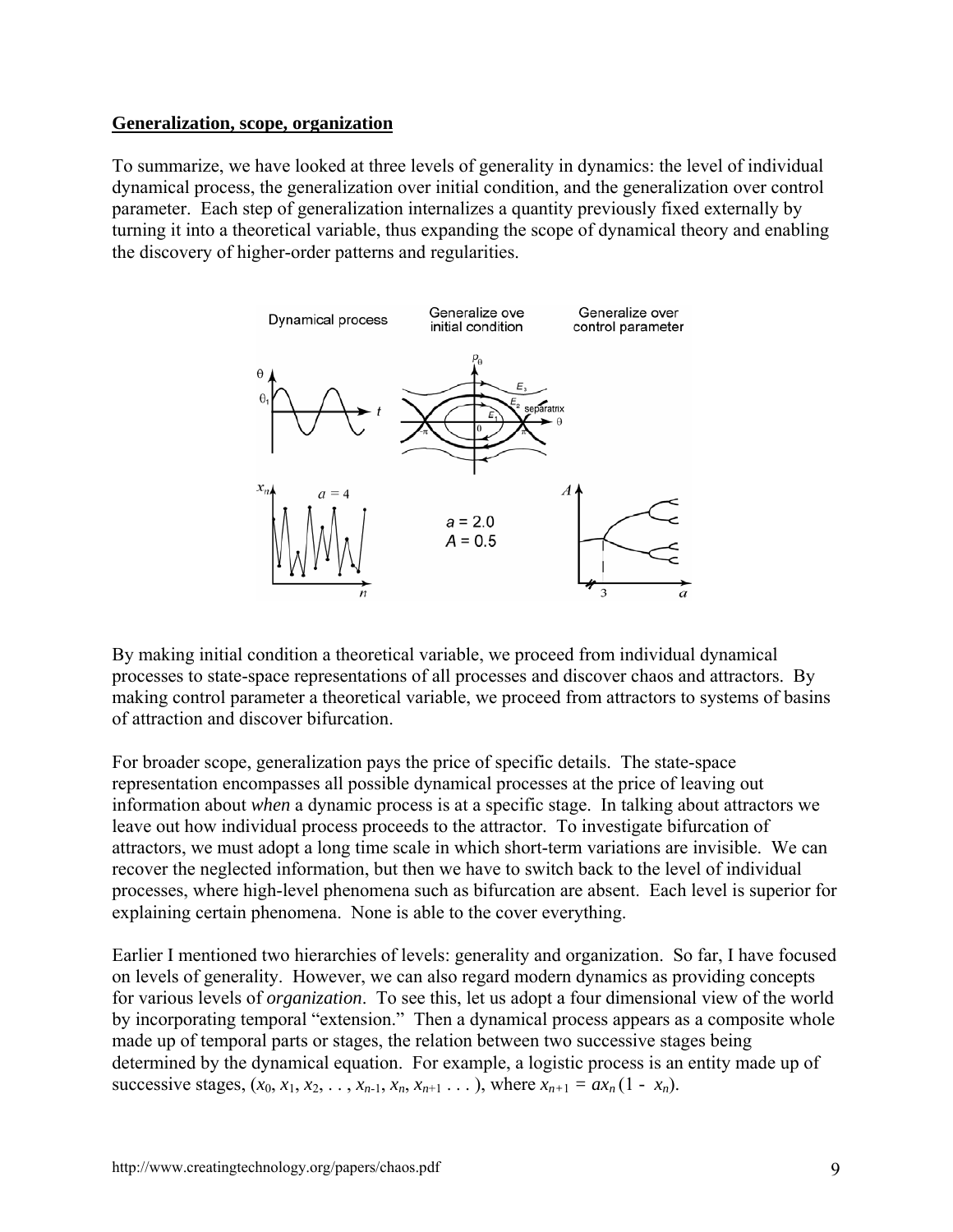### **Generalization, scope, organization**

To summarize, we have looked at three levels of generality in dynamics: the level of individual dynamical process, the generalization over initial condition, and the generalization over control parameter. Each step of generalization internalizes a quantity previously fixed externally by turning it into a theoretical variable, thus expanding the scope of dynamical theory and enabling the discovery of higher-order patterns and regularities.



By making initial condition a theoretical variable, we proceed from individual dynamical processes to state-space representations of all processes and discover chaos and attractors. By making control parameter a theoretical variable, we proceed from attractors to systems of basins of attraction and discover bifurcation.

For broader scope, generalization pays the price of specific details. The state-space representation encompasses all possible dynamical processes at the price of leaving out information about *when* a dynamic process is at a specific stage. In talking about attractors we leave out how individual process proceeds to the attractor. To investigate bifurcation of attractors, we must adopt a long time scale in which short-term variations are invisible. We can recover the neglected information, but then we have to switch back to the level of individual processes, where high-level phenomena such as bifurcation are absent. Each level is superior for explaining certain phenomena. None is able to the cover everything.

Earlier I mentioned two hierarchies of levels: generality and organization. So far, I have focused on levels of generality. However, we can also regard modern dynamics as providing concepts for various levels of *organization*. To see this, let us adopt a four dimensional view of the world by incorporating temporal "extension." Then a dynamical process appears as a composite whole made up of temporal parts or stages, the relation between two successive stages being determined by the dynamical equation. For example, a logistic process is an entity made up of successive stages,  $(x_0, x_1, x_2, \ldots, x_{n-1}, x_n, x_{n+1} \ldots)$ , where  $x_{n+1} = ax_n (1 - x_n)$ .